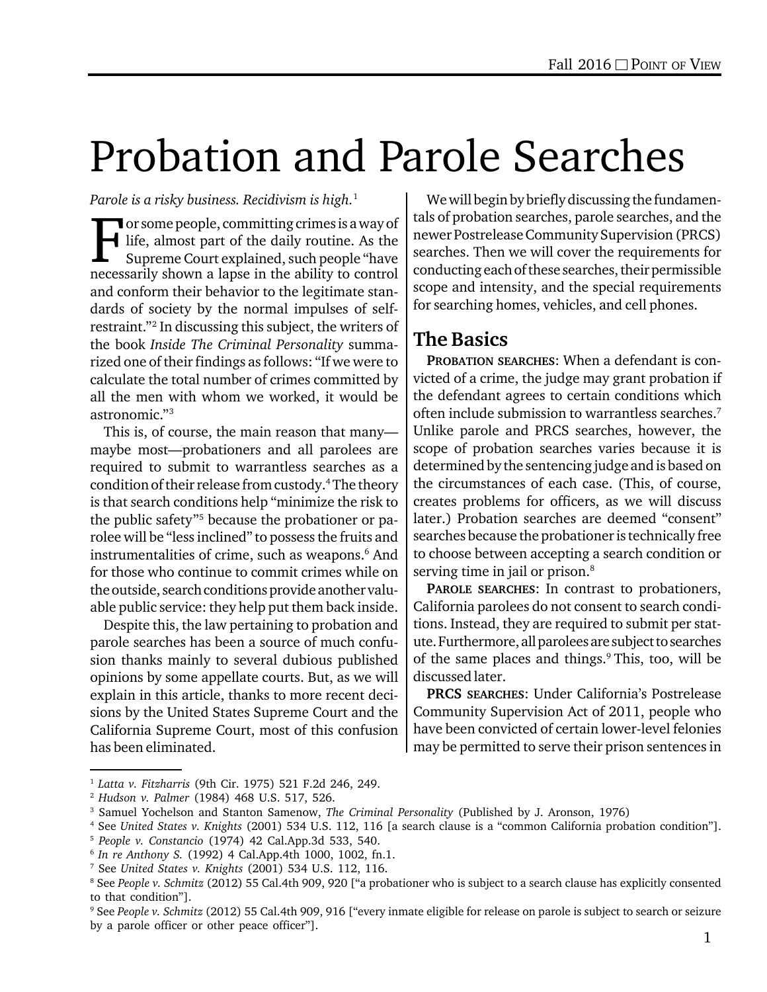# Probation and Parole Searches

For some people, committing crimes is a way of<br>life, almost part of the daily routine. As the<br>supreme Court explained, such people "have life, almost part of the daily routine. As the Supreme Court explained, such people "have necessarily shown a lapse in the ability to control and conform their behavior to the legitimate standards of society by the normal impulses of selfrestraint."2 In discussing this subject, the writers of the book *Inside The Criminal Personality* summarized one of their findings as follows: "If we were to calculate the total number of crimes committed by all the men with whom we worked, it would be astronomic."3

This is, of course, the main reason that many maybe most—probationers and all parolees are required to submit to warrantless searches as a condition of their release from custody.4 The theory is that search conditions help "minimize the risk to the public safety"5 because the probationer or parolee will be "less inclined" to possess the fruits and instrumentalities of crime, such as weapons.6 And for those who continue to commit crimes while on the outside, search conditions provide another valuable public service: they help put them back inside.

Despite this, the law pertaining to probation and parole searches has been a source of much confusion thanks mainly to several dubious published opinions by some appellate courts. But, as we will explain in this article, thanks to more recent decisions by the United States Supreme Court and the California Supreme Court, most of this confusion has been eliminated.

*Parole is a risky business. Recidivism is high.*<sup>1</sup> We will begin by briefly discussing the fundamentals of probation searches, parole searches, and the newer Postrelease Community Supervision (PRCS) searches. Then we will cover the requirements for conducting each of these searches, their permissible scope and intensity, and the special requirements for searching homes, vehicles, and cell phones.

## The Basics

PROBATION SEARCHES: When a defendant is convicted of a crime, the judge may grant probation if the defendant agrees to certain conditions which often include submission to warrantless searches.7 Unlike parole and PRCS searches, however, the scope of probation searches varies because it is determined by the sentencing judge and is based on the circumstances of each case. (This, of course, creates problems for officers, as we will discuss later.) Probation searches are deemed "consent" searches because the probationer is technically free to choose between accepting a search condition or serving time in jail or prison.<sup>8</sup>

PAROLE SEARCHES: In contrast to probationers, California parolees do not consent to search conditions. Instead, they are required to submit per statute. Furthermore, all parolees are subject to searches of the same places and things. $9$  This, too, will be discussed later.

PRCS SEARCHES: Under California's Postrelease Community Supervision Act of 2011, people who have been convicted of certain lower-level felonies may be permitted to serve their prison sentences in

<sup>1</sup> *Latta v. Fitzharris* (9th Cir. 1975) 521 F.2d 246, 249.

<sup>2</sup> *Hudson v. Palmer* (1984) 468 U.S. 517, 526.

<sup>3</sup> Samuel Yochelson and Stanton Samenow, *The Criminal Personality* (Published by J. Aronson, 1976)

<sup>4</sup> See *United States v. Knights* (2001) 534 U.S. 112, 116 [a search clause is a "common California probation condition"].

<sup>5</sup> *People v. Constancio* (1974) 42 Cal.App.3d 533, 540.

<sup>6</sup> *In re Anthony S.* (1992) 4 Cal.App.4th 1000, 1002, fn.1.

<sup>7</sup> See *United States v. Knights* (2001) 534 U.S. 112, 116.

<sup>8</sup> See *People v. Schmitz* (2012) 55 Cal.4th 909, 920 ["a probationer who is subject to a search clause has explicitly consented to that condition"].

<sup>9</sup> See *People v. Schmitz* (2012) 55 Cal.4th 909, 916 ["every inmate eligible for release on parole is subject to search or seizure by a parole officer or other peace officer"].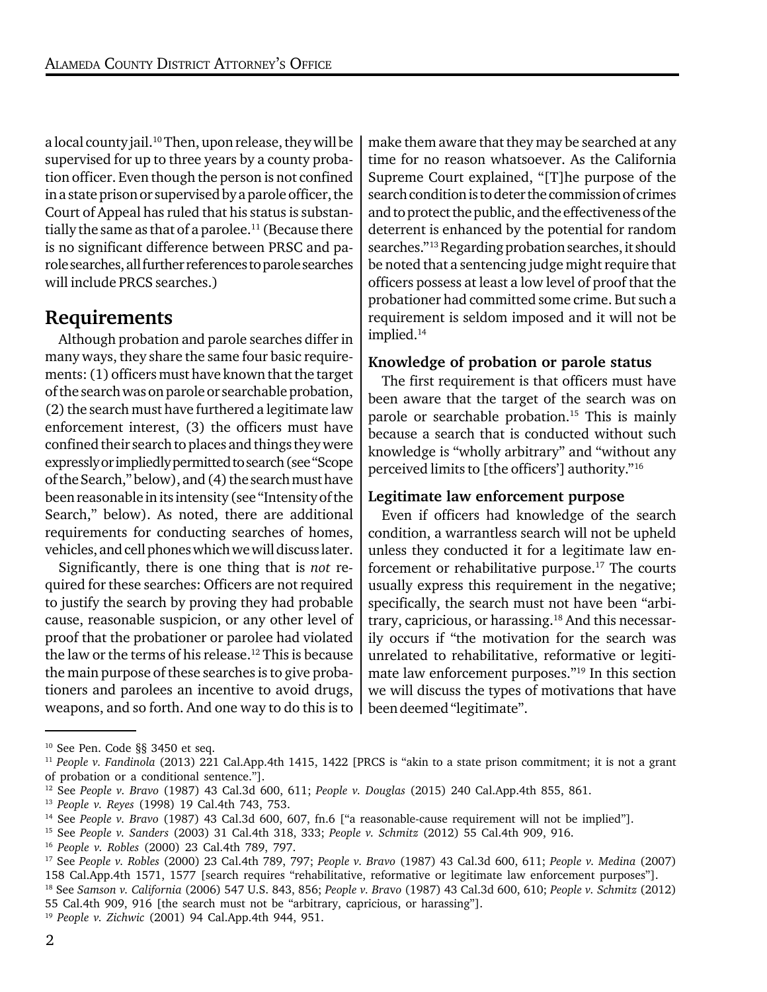a local county jail.<sup>10</sup> Then, upon release, they will be supervised for up to three years by a county probation officer. Even though the person is not confined in a state prison or supervised by a parole officer, the Court of Appeal has ruled that his status is substantially the same as that of a parolee.<sup>11</sup> (Because there is no significant difference between PRSC and parole searches, all further references to parole searches will include PRCS searches.)

## Requirements

Although probation and parole searches differ in many ways, they share the same four basic requirements: (1) officers must have known that the target of the search was on parole or searchable probation, (2) the search must have furthered a legitimate law enforcement interest, (3) the officers must have confined their search to places and things they were expressly or impliedly permitted to search (see "Scope of the Search," below), and (4) the search must have been reasonable in its intensity (see "Intensity of the Search," below). As noted, there are additional requirements for conducting searches of homes, vehicles, and cell phones which we will discuss later.

Significantly, there is one thing that is *not* required for these searches: Officers are not required to justify the search by proving they had probable cause, reasonable suspicion, or any other level of proof that the probationer or parolee had violated the law or the terms of his release.<sup>12</sup> This is because the main purpose of these searches is to give probationers and parolees an incentive to avoid drugs, weapons, and so forth. And one way to do this is to

make them aware that they may be searched at any time for no reason whatsoever. As the California Supreme Court explained, "[T]he purpose of the search condition is to deter the commission of crimes and to protect the public, and the effectiveness of the deterrent is enhanced by the potential for random searches."13 Regarding probation searches, it should be noted that a sentencing judge might require that officers possess at least a low level of proof that the probationer had committed some crime. But such a requirement is seldom imposed and it will not be implied.<sup>14</sup>

#### Knowledge of probation or parole status

The first requirement is that officers must have been aware that the target of the search was on parole or searchable probation.15 This is mainly because a search that is conducted without such knowledge is "wholly arbitrary" and "without any perceived limits to [the officers'] authority."16

#### Legitimate law enforcement purpose

Even if officers had knowledge of the search condition, a warrantless search will not be upheld unless they conducted it for a legitimate law enforcement or rehabilitative purpose.<sup>17</sup> The courts usually express this requirement in the negative; specifically, the search must not have been "arbitrary, capricious, or harassing.<sup>18</sup> And this necessarily occurs if "the motivation for the search was unrelated to rehabilitative, reformative or legitimate law enforcement purposes."19 In this section we will discuss the types of motivations that have been deemed "legitimate".

55 Cal.4th 909, 916 [the search must not be "arbitrary, capricious, or harassing"].

<sup>19</sup> *People v. Zichwic* (2001) 94 Cal.App.4th 944, 951.

<sup>10</sup> See Pen. Code §§ 3450 et seq.

<sup>11</sup> *People v. Fandinola* (2013) 221 Cal.App.4th 1415, 1422 [PRCS is "akin to a state prison commitment; it is not a grant of probation or a conditional sentence."].

<sup>12</sup> See *People v. Bravo* (1987) 43 Cal.3d 600, 611; *People v. Douglas* (2015) 240 Cal.App.4th 855, 861.

<sup>13</sup> *People v. Reyes* (1998) 19 Cal.4th 743, 753.

<sup>14</sup> See *People v. Bravo* (1987) 43 Cal.3d 600, 607, fn.6 ["a reasonable-cause requirement will not be implied"].

<sup>15</sup> See *People v. Sanders* (2003) 31 Cal.4th 318, 333; *People v. Schmitz* (2012) 55 Cal.4th 909, 916.

<sup>16</sup> *People v. Robles* (2000) 23 Cal.4th 789, 797.

<sup>17</sup> See *People v. Robles* (2000) 23 Cal.4th 789, 797; *People v. Bravo* (1987) 43 Cal.3d 600, 611; *People v. Medina* (2007) 158 Cal.App.4th 1571, 1577 [search requires "rehabilitative, reformative or legitimate law enforcement purposes"]. 18 See *Samson v. California* (2006) 547 U.S. 843, 856; *People v. Bra*v*o* (1987) 43 Cal.3d 600, 610; *People v. Schmitz* (2012)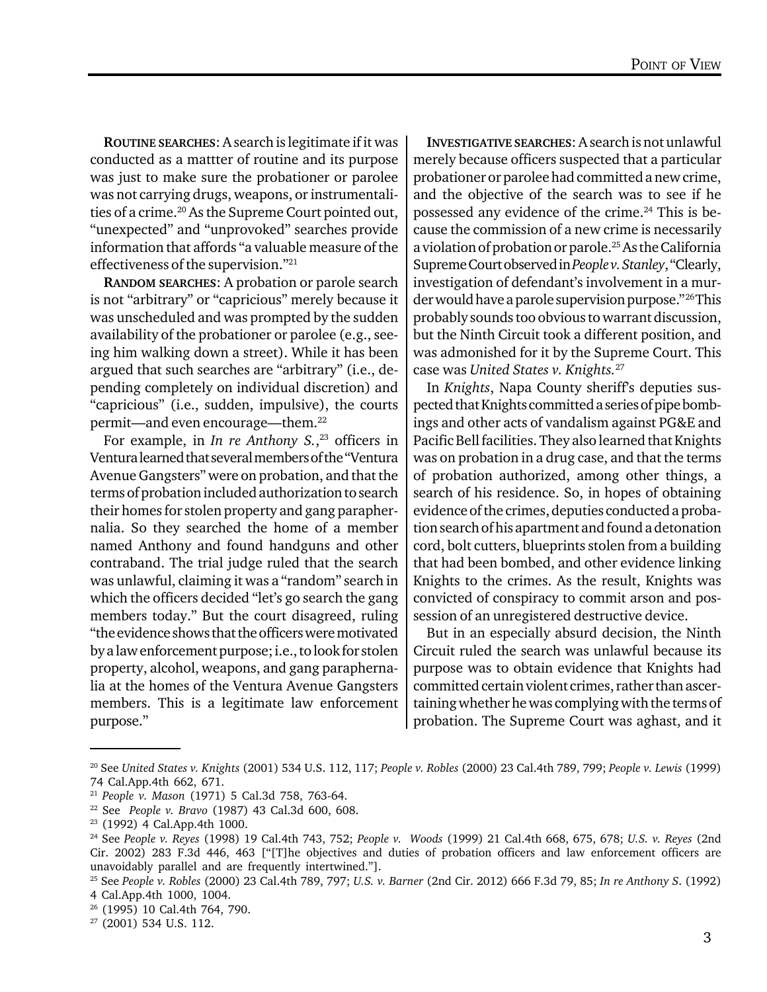ROUTINE SEARCHES: A search is legitimate if it was conducted as a mattter of routine and its purpose was just to make sure the probationer or parolee was not carrying drugs, weapons, or instrumentalities of a crime.20 As the Supreme Court pointed out, "unexpected" and "unprovoked" searches provide information that affords "a valuable measure of the effectiveness of the supervision."21

RANDOM SEARCHES: A probation or parole search is not "arbitrary" or "capricious" merely because it was unscheduled and was prompted by the sudden availability of the probationer or parolee (e.g., seeing him walking down a street). While it has been argued that such searches are "arbitrary" (i.e., depending completely on individual discretion) and "capricious" (i.e., sudden, impulsive), the courts permit—and even encourage—them.22

For example, in *In re Anthony S.*, 23 officers in Ventura learned that several members of the "Ventura Avenue Gangsters" were on probation, and that the terms of probation included authorization to search their homes for stolen property and gang paraphernalia. So they searched the home of a member named Anthony and found handguns and other contraband. The trial judge ruled that the search was unlawful, claiming it was a "random" search in which the officers decided "let's go search the gang members today." But the court disagreed, ruling "the evidence shows that the officers were motivated by a law enforcement purpose; i.e., to look for stolen property, alcohol, weapons, and gang paraphernalia at the homes of the Ventura Avenue Gangsters members. This is a legitimate law enforcement purpose."

INVESTIGATIVE SEARCHES: A search is not unlawful merely because officers suspected that a particular probationer or parolee had committed a new crime, and the objective of the search was to see if he possessed any evidence of the crime.<sup>24</sup> This is because the commission of a new crime is necessarily a violation of probation or parole.<sup>25</sup> As the California Supreme Court observed in *People v. Stanley*, "Clearly, investigation of defendant's involvement in a murder would have a parole supervision purpose."26 This probably sounds too obvious to warrant discussion, but the Ninth Circuit took a different position, and was admonished for it by the Supreme Court. This case was *United States v. Knights.*<sup>27</sup>

In *Knights*, Napa County sheriff's deputies suspected that Knights committed a series of pipe bombings and other acts of vandalism against PG&E and Pacific Bell facilities. They also learned that Knights was on probation in a drug case, and that the terms of probation authorized, among other things, a search of his residence. So, in hopes of obtaining evidence of the crimes, deputies conducted a probation search of his apartment and found a detonation cord, bolt cutters, blueprints stolen from a building that had been bombed, and other evidence linking Knights to the crimes. As the result, Knights was convicted of conspiracy to commit arson and possession of an unregistered destructive device.

But in an especially absurd decision, the Ninth Circuit ruled the search was unlawful because its purpose was to obtain evidence that Knights had committed certain violent crimes, rather than ascertaining whether he was complying with the terms of probation. The Supreme Court was aghast, and it

<sup>20</sup> See *United States v. Knights* (2001) 534 U.S. 112, 117; *People v. Robles* (2000) 23 Cal.4th 789, 799; *People v. Lewis* (1999) 74 Cal.App.4th 662, 671.

<sup>21</sup> *People v. Mason* (1971) 5 Cal.3d 758, 763-64.

<sup>22</sup> See *People v. Bravo* (1987) 43 Cal.3d 600, 608.

<sup>23 (1992) 4</sup> Cal.App.4th 1000.

<sup>24</sup> See *People v. Reyes* (1998) 19 Cal.4th 743, 752; *People v. Woods* (1999) 21 Cal.4th 668, 675, 678; *U.S. v. Reyes* (2nd Cir. 2002) 283 F.3d 446, 463 ["[T]he objectives and duties of probation officers and law enforcement officers are unavoidably parallel and are frequently intertwined."].

<sup>25</sup> See *People v. Robles* (2000) 23 Cal.4th 789, 797; *U.S. v. Barner* (2nd Cir. 2012) 666 F.3d 79, 85; *In re Anthony S*. (1992) 4 Cal.App.4th 1000, 1004.

<sup>26 (1995) 10</sup> Cal.4th 764, 790.

<sup>27 (2001) 534</sup> U.S. 112.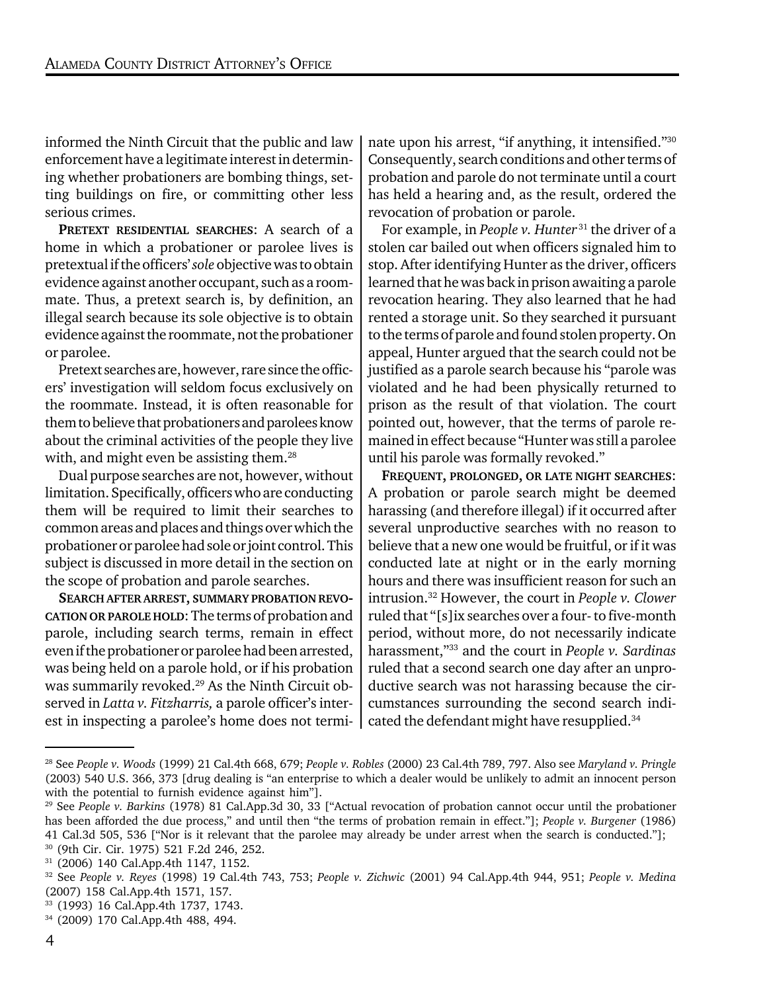informed the Ninth Circuit that the public and law enforcement have a legitimate interest in determining whether probationers are bombing things, setting buildings on fire, or committing other less serious crimes.

PRETEXT RESIDENTIAL SEARCHES: A search of a home in which a probationer or parolee lives is pretextual if the officers' *sole* objective was to obtain evidence against another occupant, such as a roommate. Thus, a pretext search is, by definition, an illegal search because its sole objective is to obtain evidence against the roommate, not the probationer or parolee.

Pretext searches are, however, rare since the officers' investigation will seldom focus exclusively on the roommate. Instead, it is often reasonable for them to believe that probationers and parolees know about the criminal activities of the people they live with, and might even be assisting them.<sup>28</sup>

Dual purpose searches are not, however, without limitation. Specifically, officers who are conducting them will be required to limit their searches to common areas and places and things over which the probationer or parolee had sole or joint control. This subject is discussed in more detail in the section on the scope of probation and parole searches.

SEARCH AFTER ARREST, SUMMARY PROBATION REVO-CATION OR PAROLE HOLD: The terms of probation and parole, including search terms, remain in effect even if the probationer or parolee had been arrested, was being held on a parole hold, or if his probation was summarily revoked.<sup>29</sup> As the Ninth Circuit observed in *Latta v. Fitzharris,* a parole officer's interest in inspecting a parolee's home does not termi-

nate upon his arrest, "if anything, it intensified."30 Consequently, search conditions and other terms of probation and parole do not terminate until a court has held a hearing and, as the result, ordered the revocation of probation or parole.

For example, in *People v. Hunter*<sup>31</sup> the driver of a stolen car bailed out when officers signaled him to stop. After identifying Hunter as the driver, officers learned that he was back in prison awaiting a parole revocation hearing. They also learned that he had rented a storage unit. So they searched it pursuant to the terms of parole and found stolen property. On appeal, Hunter argued that the search could not be justified as a parole search because his "parole was violated and he had been physically returned to prison as the result of that violation. The court pointed out, however, that the terms of parole remained in effect because "Hunter was still a parolee until his parole was formally revoked."

FREQUENT, PROLONGED, OR LATE NIGHT SEARCHES: A probation or parole search might be deemed harassing (and therefore illegal) if it occurred after several unproductive searches with no reason to believe that a new one would be fruitful, or if it was conducted late at night or in the early morning hours and there was insufficient reason for such an intrusion.32 However, the court in *People v. Clower* ruled that "[s]ix searches over a four- to five-month period, without more, do not necessarily indicate harassment,"33 and the court in *People v. Sardinas* ruled that a second search one day after an unproductive search was not harassing because the circumstances surrounding the second search indicated the defendant might have resupplied.34

<sup>28</sup> See *People v. Woods* (1999) 21 Cal.4th 668, 679; *People v. Robles* (2000) 23 Cal.4th 789, 797. Also see *Maryland v. Pringle* (2003) 540 U.S. 366, 373 [drug dealing is "an enterprise to which a dealer would be unlikely to admit an innocent person with the potential to furnish evidence against him"].

<sup>29</sup> See *People v. Barkins* (1978) 81 Cal.App.3d 30, 33 ["Actual revocation of probation cannot occur until the probationer has been afforded the due process," and until then "the terms of probation remain in effect."]; *People v. Burgener* (1986) 41 Cal.3d 505, 536 ["Nor is it relevant that the parolee may already be under arrest when the search is conducted."]; <sup>30</sup> (9th Cir. Cir. 1975) 521 F.2d 246, 252.

<sup>31 (2006) 140</sup> Cal.App.4th 1147, 1152.

<sup>32</sup> See *People v. Reyes* (1998) 19 Cal.4th 743, 753; *People v. Zichwic* (2001) 94 Cal.App.4th 944, 951; *People v. Medina* (2007) 158 Cal.App.4th 1571, 157.

<sup>33 (1993) 16</sup> Cal.App.4th 1737, 1743.

<sup>34 (2009) 170</sup> Cal.App.4th 488, 494.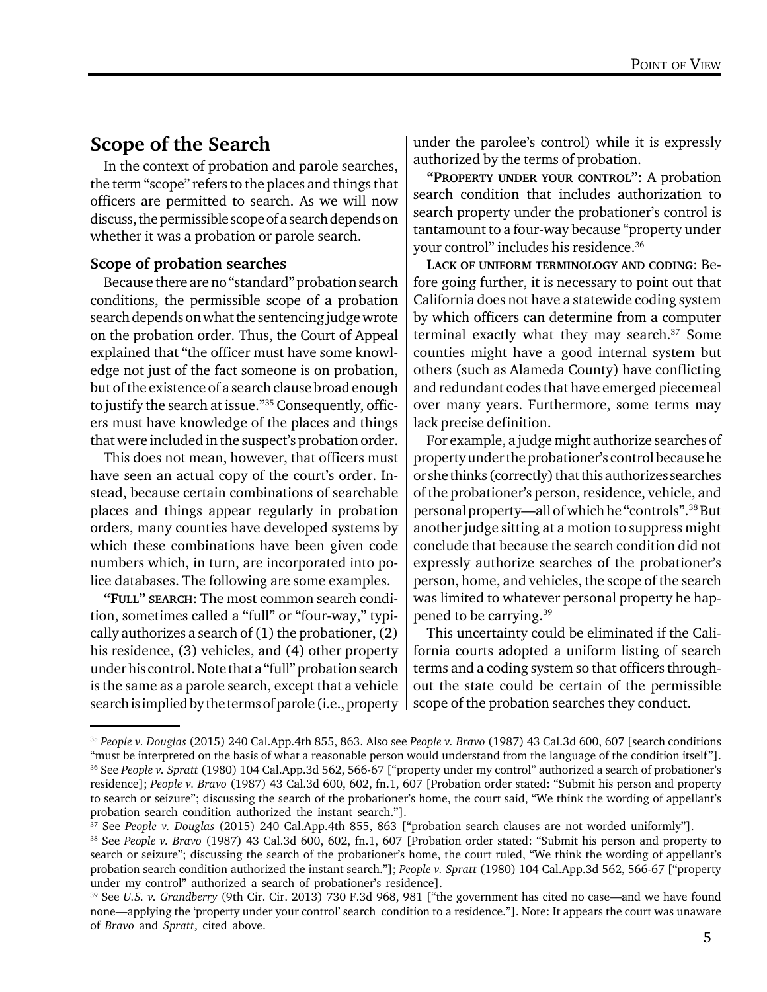## Scope of the Search

In the context of probation and parole searches, the term "scope" refers to the places and things that officers are permitted to search. As we will now discuss, the permissible scope of a search depends on whether it was a probation or parole search.

#### Scope of probation searches

Because there are no "standard" probation search conditions, the permissible scope of a probation search depends on what the sentencing judge wrote on the probation order. Thus, the Court of Appeal explained that "the officer must have some knowledge not just of the fact someone is on probation, but of the existence of a search clause broad enough to justify the search at issue."35 Consequently, officers must have knowledge of the places and things that were included in the suspect's probation order.

This does not mean, however, that officers must have seen an actual copy of the court's order. Instead, because certain combinations of searchable places and things appear regularly in probation orders, many counties have developed systems by which these combinations have been given code numbers which, in turn, are incorporated into police databases. The following are some examples.

"FULL" SEARCH: The most common search condition, sometimes called a "full" or "four-way," typically authorizes a search of (1) the probationer, (2) his residence, (3) vehicles, and (4) other property under his control. Note that a "full" probation search is the same as a parole search, except that a vehicle search is implied by the terms of parole (i.e., property under the parolee's control) while it is expressly authorized by the terms of probation.

"PROPERTY UNDER YOUR CONTROL": A probation search condition that includes authorization to search property under the probationer's control is tantamount to a four-way because "property under your control" includes his residence.36

LACK OF UNIFORM TERMINOLOGY AND CODING: Before going further, it is necessary to point out that California does not have a statewide coding system by which officers can determine from a computer terminal exactly what they may search.37 Some counties might have a good internal system but others (such as Alameda County) have conflicting and redundant codes that have emerged piecemeal over many years. Furthermore, some terms may lack precise definition.

For example, a judge might authorize searches of property under the probationer's control because he or she thinks (correctly) that this authorizes searches of the probationer's person, residence, vehicle, and personal property—all of which he "controls".38 But another judge sitting at a motion to suppress might conclude that because the search condition did not expressly authorize searches of the probationer's person, home, and vehicles, the scope of the search was limited to whatever personal property he happened to be carrying.39

This uncertainty could be eliminated if the California courts adopted a uniform listing of search terms and a coding system so that officers throughout the state could be certain of the permissible scope of the probation searches they conduct.

<sup>35</sup> *People v. Douglas* (2015) 240 Cal.App.4th 855, 863. Also see *People v. Bravo* (1987) 43 Cal.3d 600, 607 [search conditions "must be interpreted on the basis of what a reasonable person would understand from the language of the condition itself"]. 36 See *People v. Spratt* (1980) 104 Cal.App.3d 562, 566-67 ["property under my control" authorized a search of probationer's residence]; *People v. Bravo* (1987) 43 Cal.3d 600, 602, fn.1, 607 [Probation order stated: "Submit his person and property to search or seizure"; discussing the search of the probationer's home, the court said, "We think the wording of appellant's probation search condition authorized the instant search."].

<sup>37</sup> See *People v. Douglas* (2015) 240 Cal.App.4th 855, 863 ["probation search clauses are not worded uniformly"].

<sup>38</sup> See *People v. Bravo* (1987) 43 Cal.3d 600, 602, fn.1, 607 [Probation order stated: "Submit his person and property to search or seizure"; discussing the search of the probationer's home, the court ruled, "We think the wording of appellant's probation search condition authorized the instant search."]; *People v. Spratt* (1980) 104 Cal.App.3d 562, 566-67 ["property under my control" authorized a search of probationer's residence].

<sup>39</sup> See *U.S. v. Grandberry* (9th Cir. Cir. 2013) 730 F.3d 968, 981 ["the government has cited no case—and we have found none—applying the 'property under your control' search condition to a residence."]. Note: It appears the court was unaware of *Bravo* and *Spratt*, cited above.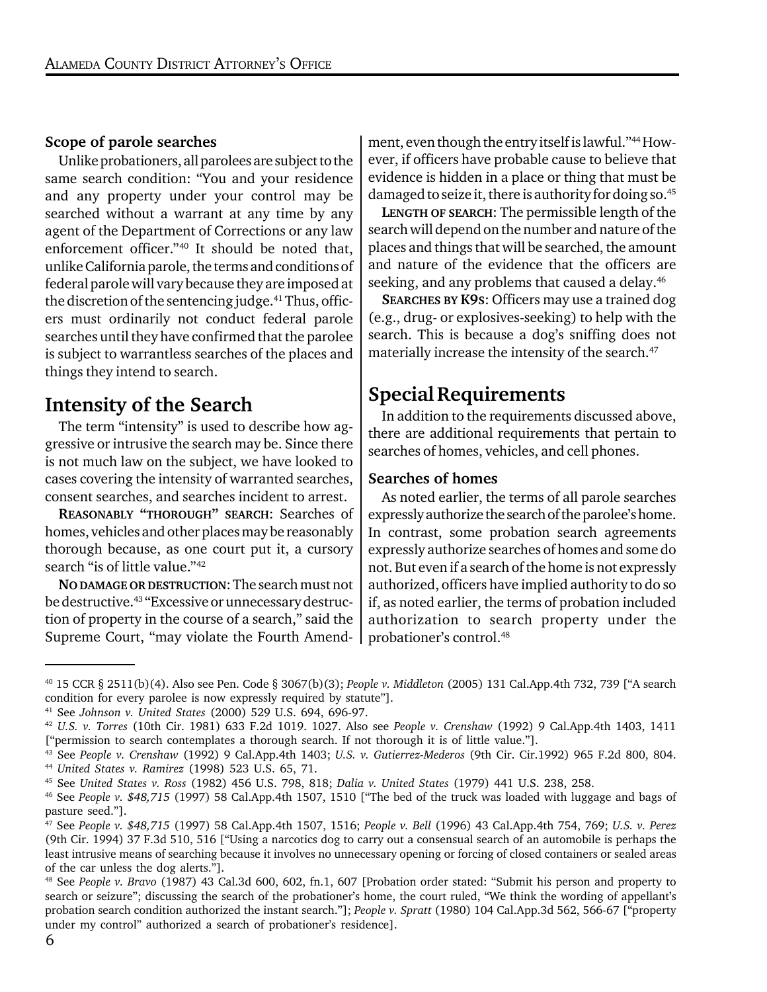#### Scope of parole searches

Unlike probationers, all parolees are subject to the same search condition: "You and your residence and any property under your control may be searched without a warrant at any time by any agent of the Department of Corrections or any law enforcement officer."40 It should be noted that, unlike California parole, the terms and conditions of federal parole will vary because they are imposed at the discretion of the sentencing judge.<sup>41</sup> Thus, officers must ordinarily not conduct federal parole searches until they have confirmed that the parolee is subject to warrantless searches of the places and things they intend to search.

## Intensity of the Search

The term "intensity" is used to describe how aggressive or intrusive the search may be. Since there is not much law on the subject, we have looked to cases covering the intensity of warranted searches, consent searches, and searches incident to arrest.

REASONABLY "THOROUGH" SEARCH: Searches of homes, vehicles and other places may be reasonably thorough because, as one court put it, a cursory search "is of little value."<sup>42</sup>

NO DAMAGE OR DESTRUCTION: The search must not be destructive.43 "Excessive or unnecessary destruction of property in the course of a search," said the Supreme Court, "may violate the Fourth Amend-

ment, even though the entry itself is lawful."44 However, if officers have probable cause to believe that evidence is hidden in a place or thing that must be damaged to seize it, there is authority for doing so.<sup>45</sup>

LENGTH OF SEARCH: The permissible length of the search will depend on the number and nature of the places and things that will be searched, the amount and nature of the evidence that the officers are seeking, and any problems that caused a delay.<sup>46</sup>

SEARCHES BY K9S: Officers may use a trained dog (e.g., drug- or explosives-seeking) to help with the search. This is because a dog's sniffing does not materially increase the intensity of the search.<sup>47</sup>

## Special Requirements

In addition to the requirements discussed above, there are additional requirements that pertain to searches of homes, vehicles, and cell phones.

#### Searches of homes

As noted earlier, the terms of all parole searches expressly authorize the search of the parolee's home. In contrast, some probation search agreements expressly authorize searches of homes and some do not. But even if a search of the home is not expressly authorized, officers have implied authority to do so if, as noted earlier, the terms of probation included authorization to search property under the probationer's control.48

<sup>40 15</sup> CCR § 2511(b)(4). Also see Pen. Code § 3067(b)(3); *People v. Middleton* (2005) 131 Cal.App.4th 732, 739 ["A search condition for every parolee is now expressly required by statute"].

<sup>41</sup> See *Johnson v. United States* (2000) 529 U.S. 694, 696-97.

<sup>42</sup> *U.S. v. Torres* (10th Cir. 1981) 633 F.2d 1019. 1027. Also see *People v. Crenshaw* (1992) 9 Cal.App.4th 1403, 1411 ["permission to search contemplates a thorough search. If not thorough it is of little value."].

<sup>43</sup> See *People v. Crenshaw* (1992) 9 Cal.App.4th 1403; *U.S. v. Gutierrez-Mederos* (9th Cir. Cir.1992) 965 F.2d 800, 804. <sup>44</sup> *United States v. Ramirez* (1998) 523 U.S. 65, 71.

<sup>45</sup> See *United States v. Ross* (1982) 456 U.S. 798, 818; *Dalia v. United States* (1979) 441 U.S. 238, 258.

<sup>46</sup> See *People v. \$48,715* (1997) 58 Cal.App.4th 1507, 1510 ["The bed of the truck was loaded with luggage and bags of pasture seed."].

<sup>47</sup> See *People v. \$48,715* (1997) 58 Cal.App.4th 1507, 1516; *People v. Bell* (1996) 43 Cal.App.4th 754, 769; *U.S. v. Perez* (9th Cir. 1994) 37 F.3d 510, 516 ["Using a narcotics dog to carry out a consensual search of an automobile is perhaps the least intrusive means of searching because it involves no unnecessary opening or forcing of closed containers or sealed areas of the car unless the dog alerts."].

<sup>48</sup> See *People v. Bravo* (1987) 43 Cal.3d 600, 602, fn.1, 607 [Probation order stated: "Submit his person and property to search or seizure"; discussing the search of the probationer's home, the court ruled, "We think the wording of appellant's probation search condition authorized the instant search."]; *People v. Spratt* (1980) 104 Cal.App.3d 562, 566-67 ["property under my control" authorized a search of probationer's residence].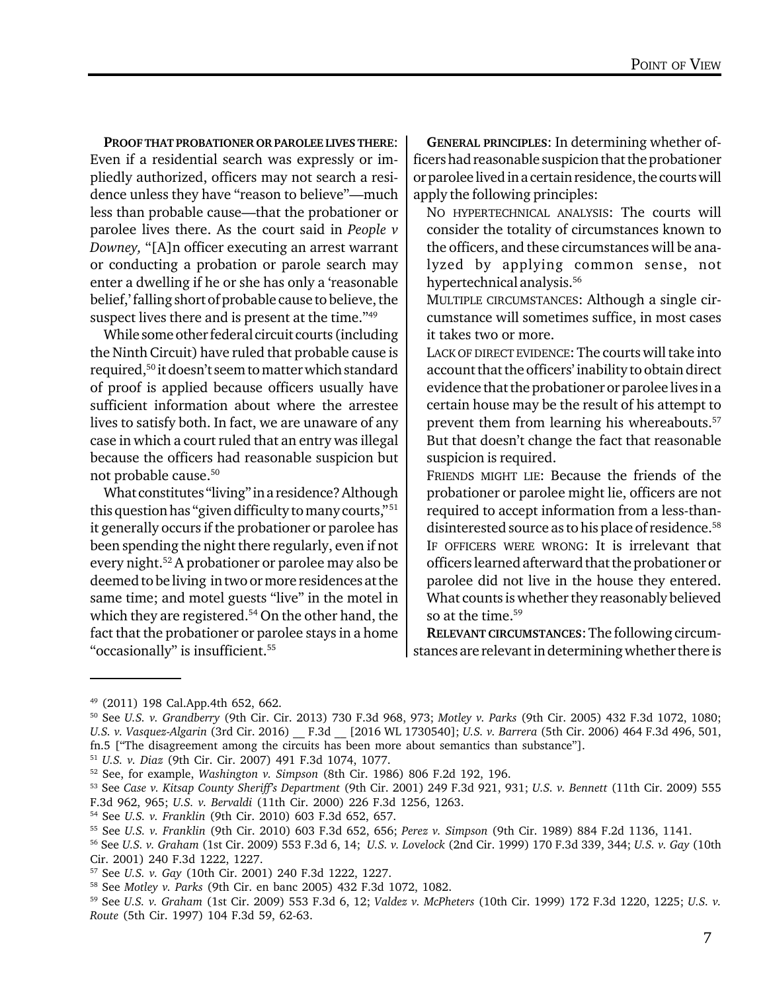PROOF THAT PROBATIONER OR PAROLEE LIVES THERE: Even if a residential search was expressly or impliedly authorized, officers may not search a residence unless they have "reason to believe"—much less than probable cause—that the probationer or parolee lives there. As the court said in *People v Downey,* "[A]n officer executing an arrest warrant or conducting a probation or parole search may enter a dwelling if he or she has only a 'reasonable belief,' falling short of probable cause to believe, the suspect lives there and is present at the time."49

While some other federal circuit courts (including the Ninth Circuit) have ruled that probable cause is required,50 it doesn't seem to matter which standard of proof is applied because officers usually have sufficient information about where the arrestee lives to satisfy both. In fact, we are unaware of any case in which a court ruled that an entry was illegal because the officers had reasonable suspicion but not probable cause.50

What constitutes "living" in a residence? Although this question has "given difficulty to many courts,"51 it generally occurs if the probationer or parolee has been spending the night there regularly, even if not every night.52 A probationer or parolee may also be deemed to be living in two or more residences at the same time; and motel guests "live" in the motel in which they are registered.<sup>54</sup> On the other hand, the fact that the probationer or parolee stays in a home "occasionally" is insufficient.<sup>55</sup>

GENERAL PRINCIPLES: In determining whether officers had reasonable suspicion that the probationer or parolee lived in a certain residence, the courts will apply the following principles:

NO HYPERTECHNICAL ANALYSIS: The courts will consider the totality of circumstances known to the officers, and these circumstances will be analyzed by applying common sense, not hypertechnical analysis.<sup>56</sup>

MULTIPLE CIRCUMSTANCES: Although a single circumstance will sometimes suffice, in most cases it takes two or more.

LACK OF DIRECT EVIDENCE: The courts will take into account that the officers' inability to obtain direct evidence that the probationer or parolee lives in a certain house may be the result of his attempt to prevent them from learning his whereabouts.57 But that doesn't change the fact that reasonable suspicion is required.

FRIENDS MIGHT LIE: Because the friends of the probationer or parolee might lie, officers are not required to accept information from a less-thandisinterested source as to his place of residence.<sup>58</sup> IF OFFICERS WERE WRONG: It is irrelevant that officers learned afterward that the probationer or parolee did not live in the house they entered. What counts is whether they reasonably believed so at the time.<sup>59</sup>

RELEVANT CIRCUMSTANCES: The following circumstances are relevant in determining whether there is

<sup>49 (2011) 198</sup> Cal.App.4th 652, 662.

<sup>50</sup> See *U.S. v. Grandberry* (9th Cir. Cir. 2013) 730 F.3d 968, 973; *Motley v. Parks* (9th Cir. 2005) 432 F.3d 1072, 1080; *U.S. v. Vasquez-Algarin* (3rd Cir. 2016) \_\_ F.3d \_\_ [2016 WL 1730540]; *U.S. v. Barrera* (5th Cir. 2006) 464 F.3d 496, 501, fn.5 ["The disagreement among the circuits has been more about semantics than substance"].

<sup>51</sup> *U.S. v. Diaz* (9th Cir. Cir. 2007) 491 F.3d 1074, 1077.

<sup>52</sup> See, for example, *Washington v. Simpson* (8th Cir. 1986) 806 F.2d 192, 196.

<sup>53</sup> See *Case v. Kitsap County Sheriff's Department* (9th Cir. 2001) 249 F.3d 921, 931; *U.S. v. Bennett* (11th Cir. 2009) 555 F.3d 962, 965; *U.S. v. Bervaldi* (11th Cir. 2000) 226 F.3d 1256, 1263.

<sup>54</sup> See *U.S. v. Franklin* (9th Cir. 2010) 603 F.3d 652, 657.

<sup>55</sup> See *U.S. v. Franklin* (9th Cir. 2010) 603 F.3d 652, 656; *Perez v. Simpson* (9th Cir. 1989) 884 F.2d 1136, 1141.

<sup>56</sup> See *U.S. v. Graham* (1st Cir. 2009) 553 F.3d 6, 14; *U.S. v. Lo*v*elock* (2nd Cir. 1999) 170 F.3d 339, 344; *U.S. v. Gay* (10th Cir. 2001) 240 F.3d 1222, 1227.

<sup>57</sup> See *U.S. v. Gay* (10th Cir. 2001) 240 F.3d 1222, 1227.

<sup>58</sup> See *Motley v. Parks* (9th Cir. en banc 2005) 432 F.3d 1072, 1082.

<sup>59</sup> See *U.S. v. Graham* (1st Cir. 2009) 553 F.3d 6, 12; *Valdez v. McPheters* (10th Cir. 1999) 172 F.3d 1220, 1225; *U.S. v. Route* (5th Cir. 1997) 104 F.3d 59, 62-63.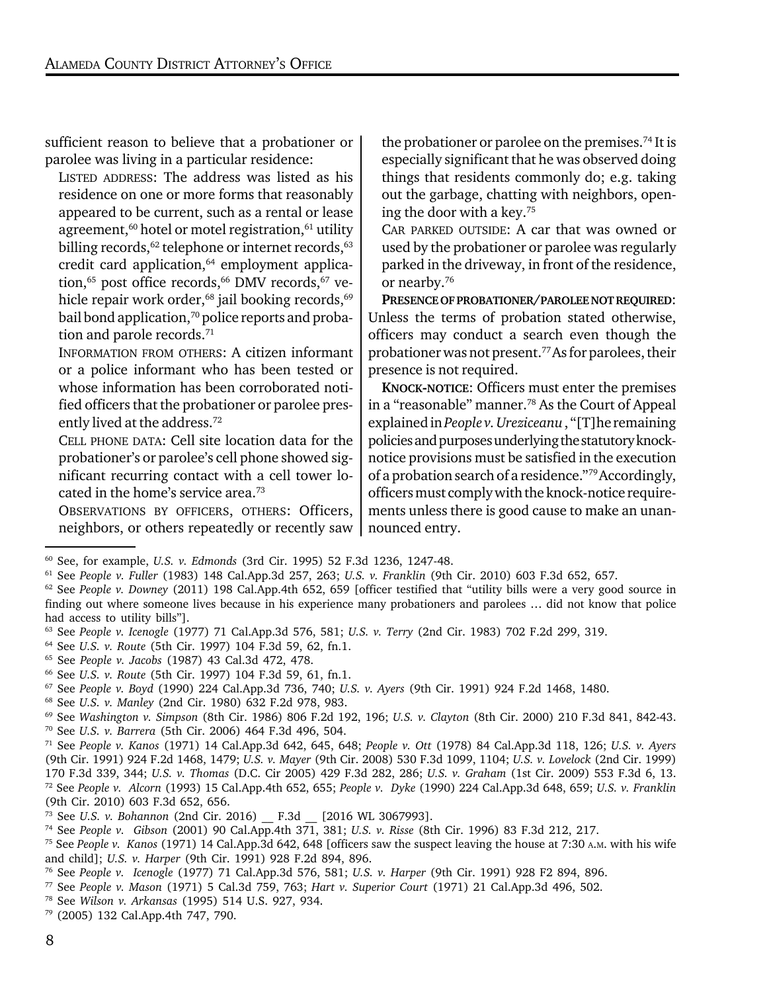sufficient reason to believe that a probationer or parolee was living in a particular residence:

LISTED ADDRESS: The address was listed as his residence on one or more forms that reasonably appeared to be current, such as a rental or lease agreement, $60$  hotel or motel registration, $61$  utility billing records,<sup>62</sup> telephone or internet records,<sup>63</sup> credit card application,<sup>64</sup> employment application, $65$  post office records, $66$  DMV records, $67$  vehicle repair work order, $68$  jail booking records, $69$ bail bond application,<sup>70</sup> police reports and probation and parole records.<sup>71</sup>

INFORMATION FROM OTHERS: A citizen informant or a police informant who has been tested or whose information has been corroborated notified officers that the probationer or parolee presently lived at the address.72

CELL PHONE DATA: Cell site location data for the probationer's or parolee's cell phone showed significant recurring contact with a cell tower located in the home's service area.73

OBSERVATIONS BY OFFICERS, OTHERS: Officers, neighbors, or others repeatedly or recently saw

the probationer or parolee on the premises.74 It is especially significant that he was observed doing things that residents commonly do; e.g. taking out the garbage, chatting with neighbors, opening the door with a key.75

CAR PARKED OUTSIDE: A car that was owned or used by the probationer or parolee was regularly parked in the driveway, in front of the residence, or nearby.76

PRESENCE OF PROBATIONER/PAROLEE NOT REQUIRED: Unless the terms of probation stated otherwise, officers may conduct a search even though the probationer was not present.77 As for parolees, their presence is not required.

KNOCK-NOTICE: Officers must enter the premises in a "reasonable" manner.78 As the Court of Appeal explained in *People v. Ureziceanu* , "[T]he remaining policies and purposes underlying the statutory knocknotice provisions must be satisfied in the execution of a probation search of a residence."79 Accordingly, officers must comply with the knock-notice requirements unless there is good cause to make an unannounced entry.

<sup>60</sup> See, for example, *U.S. v. Edmonds* (3rd Cir. 1995) 52 F.3d 1236, 1247-48.

<sup>61</sup> See *People v. Fuller* (1983) 148 Cal.App.3d 257, 263; *U.S. v. Franklin* (9th Cir. 2010) 603 F.3d 652, 657.

<sup>62</sup> See *People v. Downey* (2011) 198 Cal.App.4th 652, 659 [officer testified that "utility bills were a very good source in finding out where someone lives because in his experience many probationers and parolees … did not know that police had access to utility bills"].

<sup>63</sup> See *People v. Icenogle* (1977) 71 Cal.App.3d 576, 581; *U.S. v. Terry* (2nd Cir. 1983) 702 F.2d 299, 319.

<sup>64</sup> See *U.S. v. Route* (5th Cir. 1997) 104 F.3d 59, 62, fn.1.

<sup>65</sup> See *People v. Jacobs* (1987) 43 Cal.3d 472, 478.

<sup>66</sup> See *U.S. v. Route* (5th Cir. 1997) 104 F.3d 59, 61, fn.1.

<sup>67</sup> See *People v. Boyd* (1990) 224 Cal.App.3d 736, 740; *U.S. v. Ayers* (9th Cir. 1991) 924 F.2d 1468, 1480.

<sup>68</sup> See *U.S. v. Manley* (2nd Cir. 1980) 632 F.2d 978, 983.

<sup>69</sup> See *Washington v. Simpson* (8th Cir. 1986) 806 F.2d 192, 196; *U.S. v. Clayton* (8th Cir. 2000) 210 F.3d 841, 842-43. 70 See *U.S. v. Barrera* (5th Cir. 2006) 464 F.3d 496, 504.

<sup>71</sup> See *People v. Kanos* (1971) 14 Cal.App.3d 642, 645, 648; *People v. Ott* (1978) 84 Cal.App.3d 118, 126; *U.S. v. Ayers* (9th Cir. 1991) 924 F.2d 1468, 1479; *U.S. v. Mayer* (9th Cir. 2008) 530 F.3d 1099, 1104; *U.S. v. Lovelock* (2nd Cir. 1999) 170 F.3d 339, 344; *U.S. v. Thomas* (D.C. Cir 2005) 429 F.3d 282, 286; *U.S. v. Graham* (1st Cir. 2009) 553 F.3d 6, 13. 72 See *People v. Alcorn* (1993) 15 Cal.App.4th 652, 655; *People v. Dyke* (1990) 224 Cal.App.3d 648, 659; *U.S. v. Franklin* (9th Cir. 2010) 603 F.3d 652, 656.

<sup>73</sup> See *U.S. v. Bohannon* (2nd Cir. 2016) \_\_ F.3d \_\_ [2016 WL 3067993].

<sup>74</sup> See *People v. Gibson* (2001) 90 Cal.App.4th 371, 381; *U.S. v. Risse* (8th Cir. 1996) 83 F.3d 212, 217.

<sup>75</sup> See *People v. Kanos* (1971) 14 Cal.App.3d 642, 648 [officers saw the suspect leaving the house at 7:30 A.M. with his wife and child]; *U.S. v. Harper* (9th Cir. 1991) 928 F.2d 894, 896.

<sup>76</sup> See *People v. Icenogle* (1977) 71 Cal.App.3d 576, 581; *U.S. v. Harper* (9th Cir. 1991) 928 F2 894, 896.

<sup>77</sup> See *People v. Mason* (1971) 5 Cal.3d 759, 763; *Hart v. Superior Court* (1971) 21 Cal.App.3d 496, 502.

<sup>78</sup> See *Wilson v. Arkansas* (1995) 514 U.S. 927, 934.

<sup>79 (2005) 132</sup> Cal.App.4th 747, 790.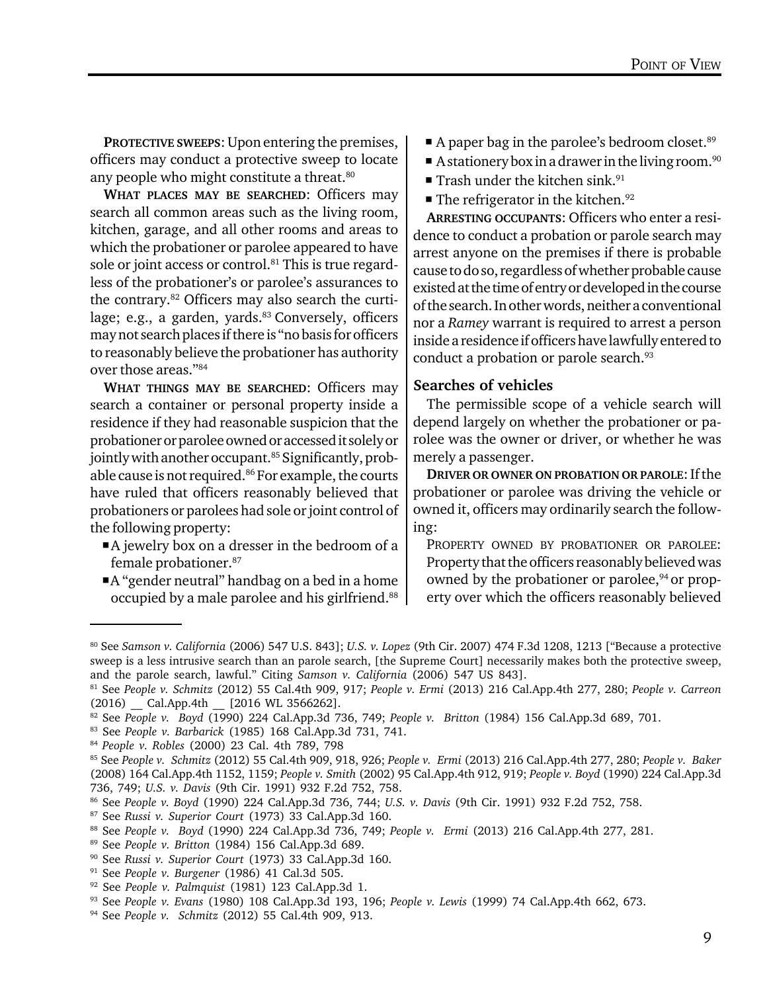PROTECTIVE SWEEPS: Upon entering the premises, officers may conduct a protective sweep to locate any people who might constitute a threat.<sup>80</sup>

WHAT PLACES MAY BE SEARCHED: Officers may search all common areas such as the living room, kitchen, garage, and all other rooms and areas to which the probationer or parolee appeared to have sole or joint access or control.<sup>81</sup> This is true regardless of the probationer's or parolee's assurances to the contrary.82 Officers may also search the curtilage; e.g., a garden, yards. $83$  Conversely, officers may not search places if there is "no basis for officers to reasonably believe the probationer has authority over those areas."84

WHAT THINGS MAY BE SEARCHED: Officers may search a container or personal property inside a residence if they had reasonable suspicion that the probationer or parolee owned or accessed it solely or jointly with another occupant.<sup>85</sup> Significantly, probable cause is not required.<sup>86</sup> For example, the courts have ruled that officers reasonably believed that probationers or parolees had sole or joint control of the following property:

- A jewelry box on a dresser in the bedroom of a female probationer.87
- ■A "gender neutral" handbag on a bed in a home occupied by a male parolee and his girlfriend.<sup>88</sup>
- A paper bag in the parolee's bedroom closet.<sup>89</sup>
- A stationery box in a drawer in the living room.<sup>90</sup>
- Trash under the kitchen sink.<sup>91</sup>
- $\blacksquare$  The refrigerator in the kitchen.<sup>92</sup>

ARRESTING OCCUPANTS: Officers who enter a residence to conduct a probation or parole search may arrest anyone on the premises if there is probable cause to do so, regardless of whether probable cause existed at the time of entry or developed in the course of the search. In other words, neither a conventional nor a *Ramey* warrant is required to arrest a person inside a residence if officers have lawfully entered to conduct a probation or parole search.<sup>93</sup>

#### Searches of vehicles

The permissible scope of a vehicle search will depend largely on whether the probationer or parolee was the owner or driver, or whether he was merely a passenger.

DRIVER OR OWNER ON PROBATION OR PAROLE: If the probationer or parolee was driving the vehicle or owned it, officers may ordinarily search the following:

PROPERTY OWNED BY PROBATIONER OR PAROLEE: Property that the officers reasonably believed was owned by the probationer or parolee,  $94$  or property over which the officers reasonably believed

83 See *People v. Barbarick* (1985) 168 Cal.App.3d 731, 741.

<sup>80</sup> See *Samson v. California* (2006) 547 U.S. 843]; *U.S. v. Lopez* (9th Cir. 2007) 474 F.3d 1208, 1213 ["Because a protective sweep is a less intrusive search than an parole search, [the Supreme Court] necessarily makes both the protective sweep, and the parole search, lawful." Citing *Samson v. California* (2006) 547 US 843].

<sup>81</sup> See *People v. Schmitz* (2012) 55 Cal.4th 909, 917; *People v. Ermi* (2013) 216 Cal.App.4th 277, 280; *People v. Carreon* (2016) Cal.App.4th [2016 WL 3566262].

<sup>82</sup> See *People v. Boyd* (1990) 224 Cal.App.3d 736, 749; *People v. Britton* (1984) 156 Cal.App.3d 689, 701.

<sup>84</sup> *People v. Robles* (2000) 23 Cal. 4th 789, 798

<sup>85</sup> See *People v. Schmitz* (2012) 55 Cal.4th 909, 918, 926; *People v. Ermi* (2013) 216 Cal.App.4th 277, 280; *People v. Baker* (2008) 164 Cal.App.4th 1152, 1159; *People v. Smith* (2002) 95 Cal.App.4th 912, 919; *People v. Boyd* (1990) 224 Cal.App.3d 736, 749; *U.S. v. Davis* (9th Cir. 1991) 932 F.2d 752, 758.

<sup>86</sup> See *People v. Boyd* (1990) 224 Cal.App.3d 736, 744; *U.S. v. Davis* (9th Cir. 1991) 932 F.2d 752, 758.

<sup>87</sup> See *Russi v. Superior Court* (1973) 33 Cal.App.3d 160.

<sup>88</sup> See *People v. Boyd* (1990) 224 Cal.App.3d 736, 749; *People v. Ermi* (2013) 216 Cal.App.4th 277, 281.

<sup>89</sup> See *People v. Britton* (1984) 156 Cal.App.3d 689.

<sup>90</sup> See *Russi v. Superior Court* (1973) 33 Cal.App.3d 160.

<sup>91</sup> See *People v. Burgener* (1986) 41 Cal.3d 505.

<sup>92</sup> See *People v. Palmquist* (1981) 123 Cal.App.3d 1.

<sup>93</sup> See *People v. Evans* (1980) 108 Cal.App.3d 193, 196; *People v. Lewis* (1999) 74 Cal.App.4th 662, 673.

<sup>94</sup> See *People v. Schmitz* (2012) 55 Cal.4th 909, 913.